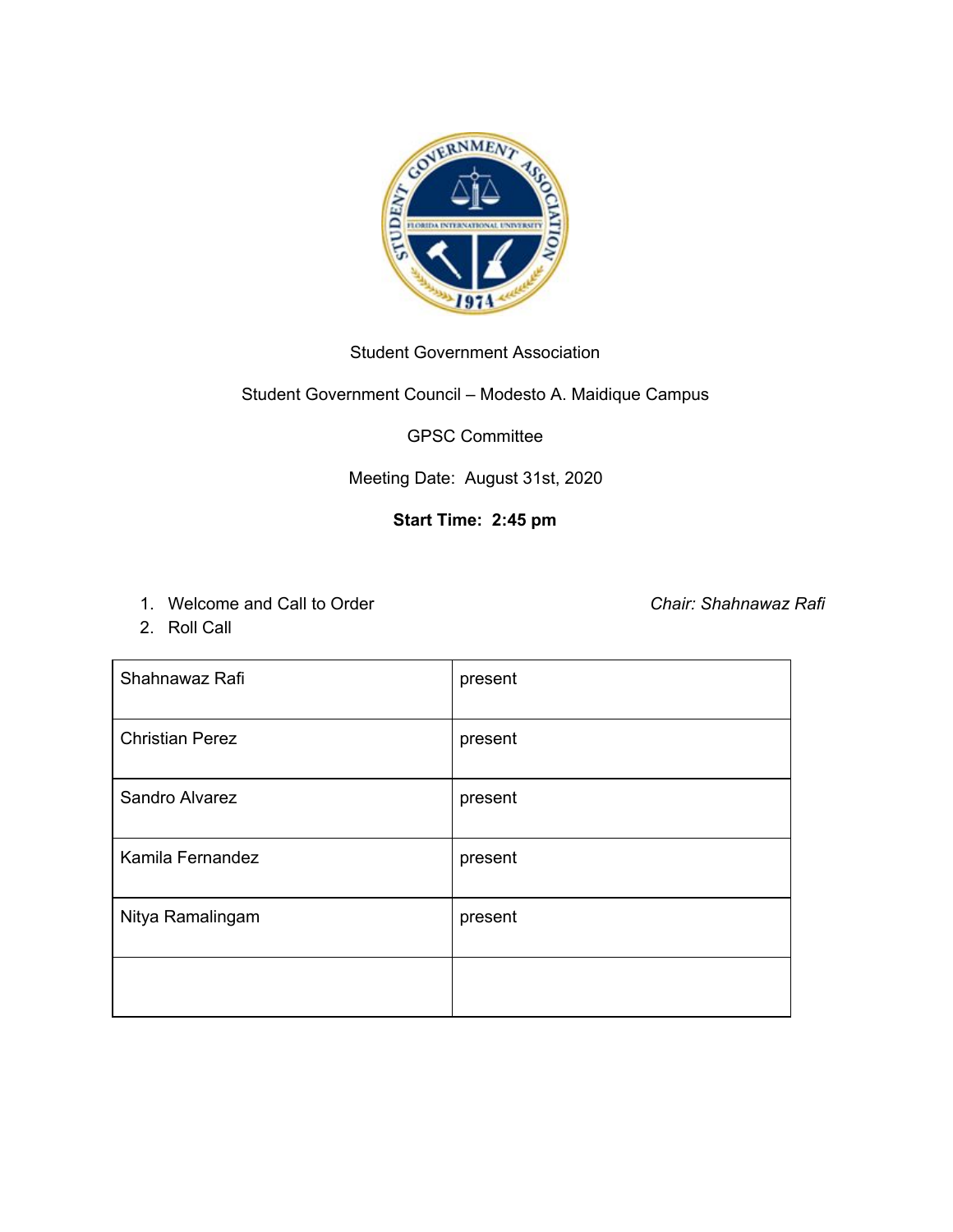

#### Student Government Association

#### Student Government Council – Modesto A. Maidique Campus

GPSC Committee

Meeting Date: August 31st, 2020

## **Start Time: 2:45 pm**

1. Welcome and Call to Order *Chair: Shahnawaz Rafi*

2. Roll Call

| Shahnawaz Rafi         | present |
|------------------------|---------|
| <b>Christian Perez</b> | present |
| Sandro Alvarez         | present |
| Kamila Fernandez       | present |
| Nitya Ramalingam       | present |
|                        |         |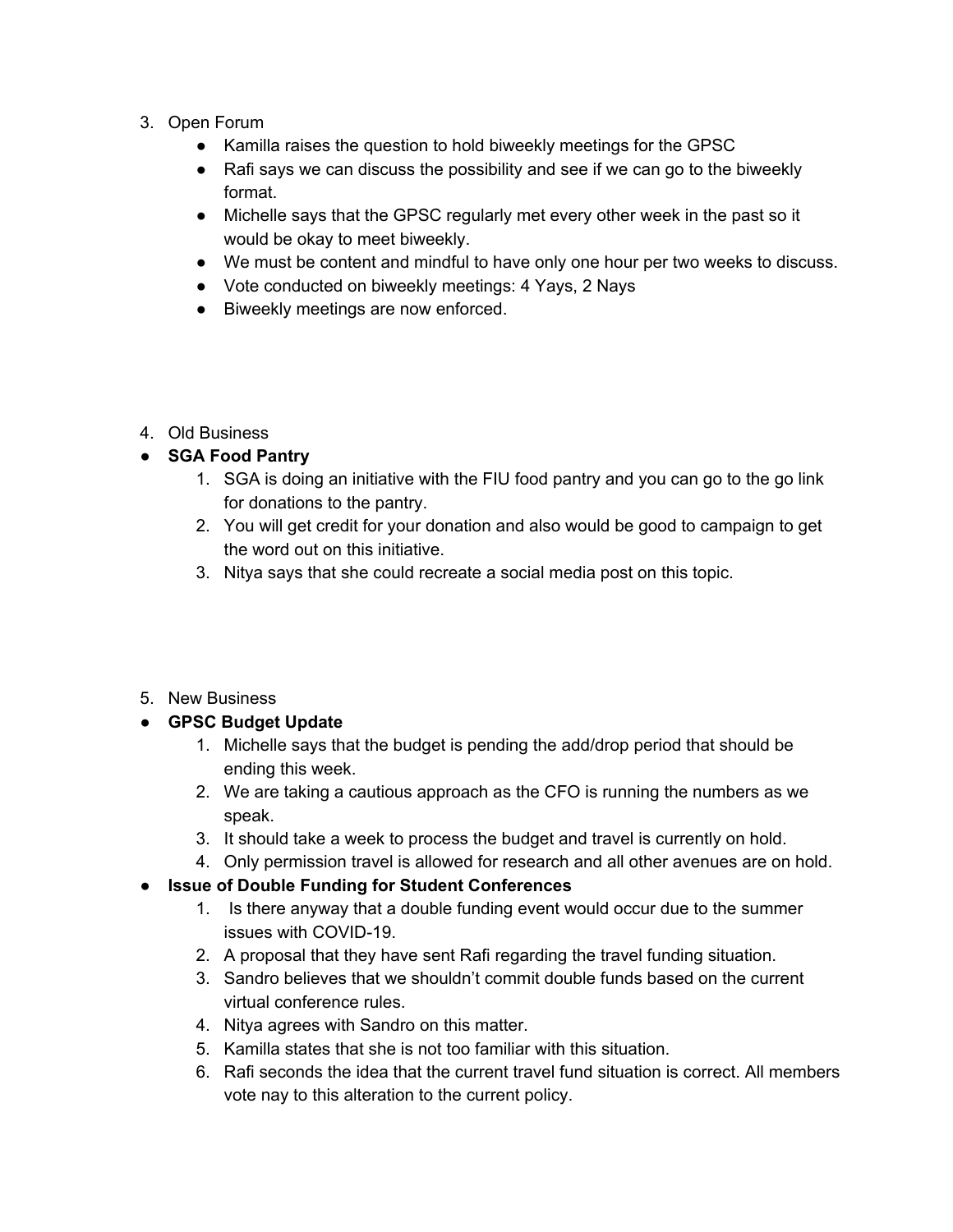- 3. Open Forum
	- Kamilla raises the question to hold biweekly meetings for the GPSC
	- Rafi says we can discuss the possibility and see if we can go to the biweekly format.
	- Michelle says that the GPSC regularly met every other week in the past so it would be okay to meet biweekly.
	- We must be content and mindful to have only one hour per two weeks to discuss.
	- Vote conducted on biweekly meetings: 4 Yays, 2 Nays
	- Biweekly meetings are now enforced.
- 4. Old Business

## ● **SGA Food Pantry**

- 1. SGA is doing an initiative with the FIU food pantry and you can go to the go link for donations to the pantry.
- 2. You will get credit for your donation and also would be good to campaign to get the word out on this initiative.
- 3. Nitya says that she could recreate a social media post on this topic.
- 5. New Business

# **● GPSC Budget Update**

- 1. Michelle says that the budget is pending the add/drop period that should be ending this week.
- 2. We are taking a cautious approach as the CFO is running the numbers as we speak.
- 3. It should take a week to process the budget and travel is currently on hold.
- 4. Only permission travel is allowed for research and all other avenues are on hold.

#### **● Issue of Double Funding for Student Conferences**

- 1. Is there anyway that a double funding event would occur due to the summer issues with COVID-19.
- 2. A proposal that they have sent Rafi regarding the travel funding situation.
- 3. Sandro believes that we shouldn't commit double funds based on the current virtual conference rules.
- 4. Nitya agrees with Sandro on this matter.
- 5. Kamilla states that she is not too familiar with this situation.
- 6. Rafi seconds the idea that the current travel fund situation is correct. All members vote nay to this alteration to the current policy.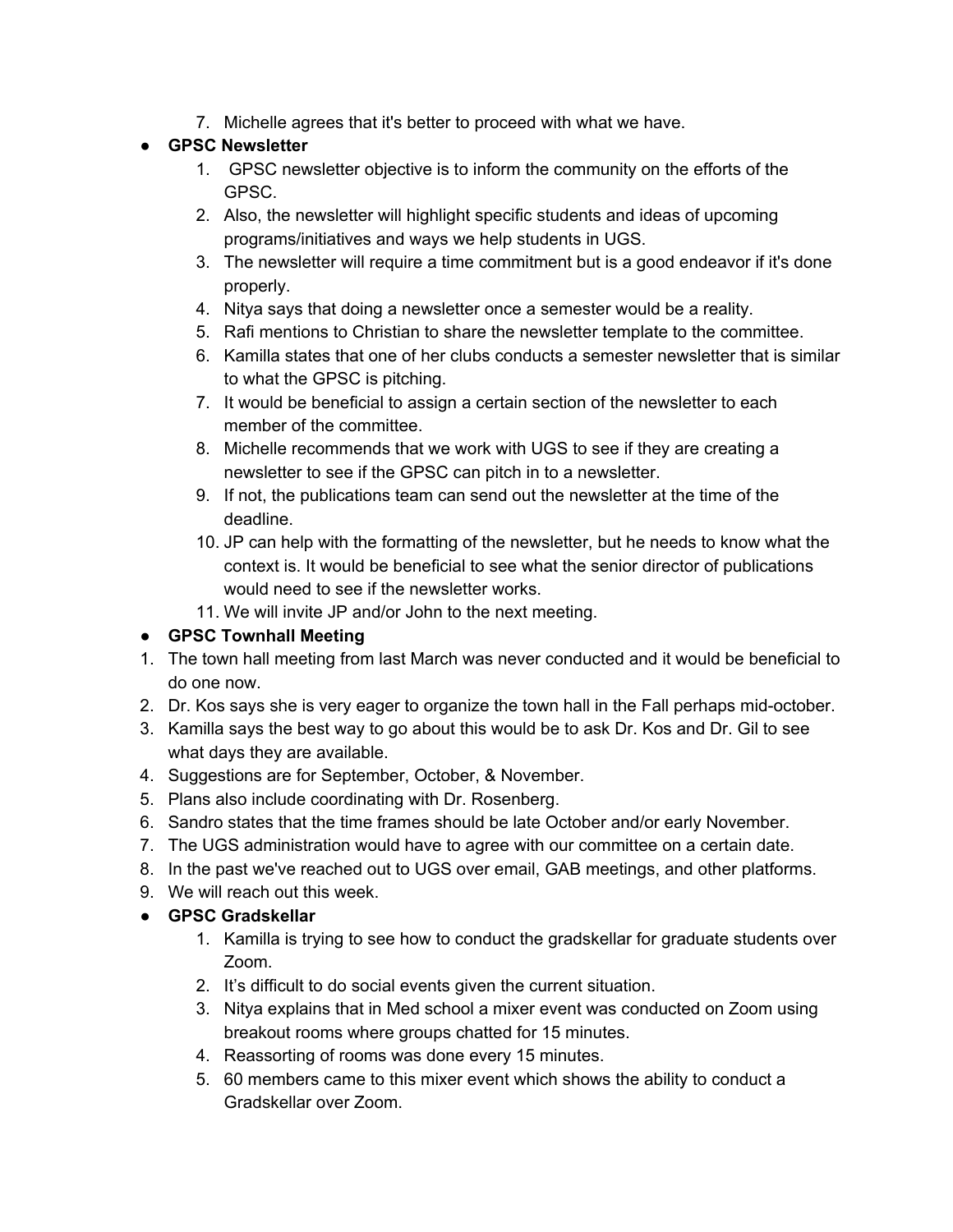7. Michelle agrees that it's better to proceed with what we have.

# ● **GPSC Newsletter**

- 1. GPSC newsletter objective is to inform the community on the efforts of the GPSC.
- 2. Also, the newsletter will highlight specific students and ideas of upcoming programs/initiatives and ways we help students in UGS.
- 3. The newsletter will require a time commitment but is a good endeavor if it's done properly.
- 4. Nitya says that doing a newsletter once a semester would be a reality.
- 5. Rafi mentions to Christian to share the newsletter template to the committee.
- 6. Kamilla states that one of her clubs conducts a semester newsletter that is similar to what the GPSC is pitching.
- 7. It would be beneficial to assign a certain section of the newsletter to each member of the committee.
- 8. Michelle recommends that we work with UGS to see if they are creating a newsletter to see if the GPSC can pitch in to a newsletter.
- 9. If not, the publications team can send out the newsletter at the time of the deadline.
- 10. JP can help with the formatting of the newsletter, but he needs to know what the context is. It would be beneficial to see what the senior director of publications would need to see if the newsletter works.
- 11. We will invite JP and/or John to the next meeting.

# **● GPSC Townhall Meeting**

- 1. The town hall meeting from last March was never conducted and it would be beneficial to do one now.
- 2. Dr. Kos says she is very eager to organize the town hall in the Fall perhaps mid-october.
- 3. Kamilla says the best way to go about this would be to ask Dr. Kos and Dr. Gil to see what days they are available.
- 4. Suggestions are for September, October, & November.
- 5. Plans also include coordinating with Dr. Rosenberg.
- 6. Sandro states that the time frames should be late October and/or early November.
- 7. The UGS administration would have to agree with our committee on a certain date.
- 8. In the past we've reached out to UGS over email, GAB meetings, and other platforms.
- 9. We will reach out this week.

# ● **GPSC Gradskellar**

- 1. Kamilla is trying to see how to conduct the gradskellar for graduate students over Zoom.
- 2. It's difficult to do social events given the current situation.
- 3. Nitya explains that in Med school a mixer event was conducted on Zoom using breakout rooms where groups chatted for 15 minutes.
- 4. Reassorting of rooms was done every 15 minutes.
- 5. 60 members came to this mixer event which shows the ability to conduct a Gradskellar over Zoom.